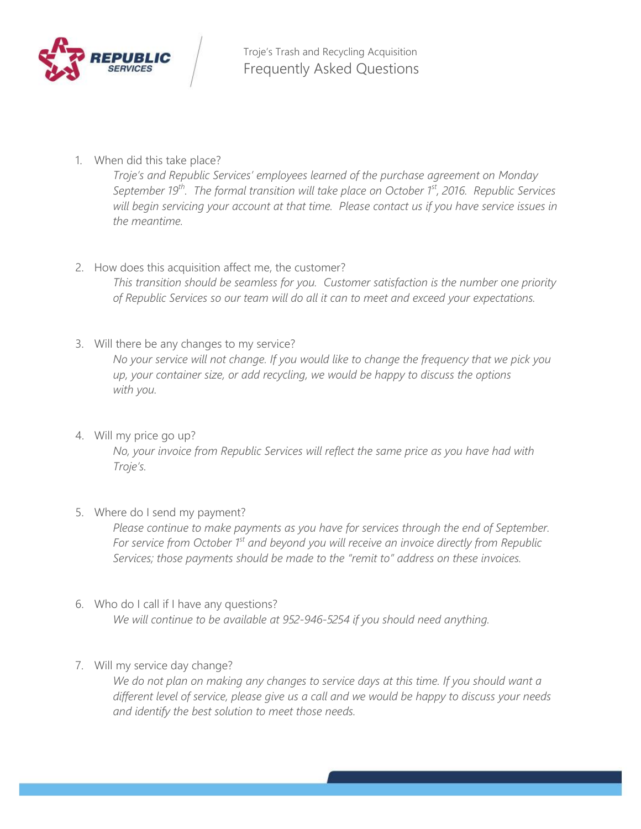

Troje's Trash and Recycling Acquisition Frequently Asked Questions

1. When did this take place?

*Troje's and Republic Services' employees learned of the purchase agreement on Monday September 19th . The formal transition will take place on October 1st, 2016. Republic Services will begin servicing your account at that time. Please contact us if you have service issues in the meantime.*

- 2. How does this acquisition affect me, the customer? *This transition should be seamless for you. Customer satisfaction is the number one priority of Republic Services so our team will do all it can to meet and exceed your expectations.*
- 3. Will there be any changes to my service?

*No your service will not change. If you would like to change the frequency that we pick you up, your container size, or add recycling, we would be happy to discuss the options with you.* 

4. Will my price go up?

*No, your invoice from Republic Services will reflect the same price as you have had with Troje's.*

5. Where do I send my payment?

*Please continue to make payments as you have for services through the end of September. For service from October 1st and beyond you will receive an invoice directly from Republic Services; those payments should be made to the "remit to" address on these invoices.*

- 6. Who do I call if I have any questions? *We will continue to be available at 952-946-5254 if you should need anything.*
- 7. Will my service day change?

*We do not plan on making any changes to service days at this time. If you should want a different level of service, please give us a call and we would be happy to discuss your needs and identify the best solution to meet those needs.*